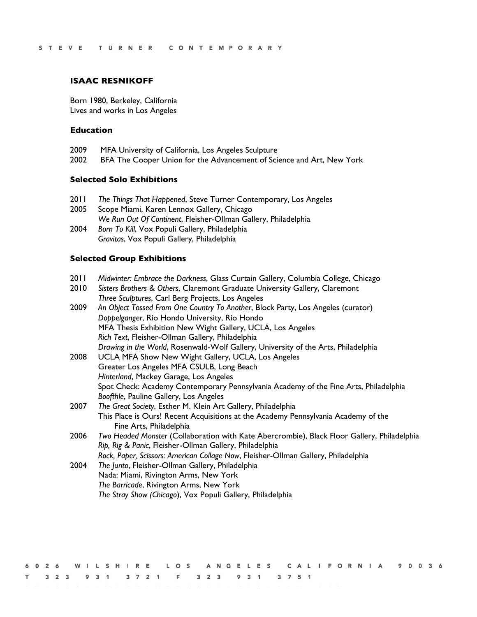#### **ISAAC RESNIKOFF**

Born 1980, Berkeley, California Lives and works in Los Angeles

### **Education**

- 2009 MFA University of California, Los Angeles Sculpture
- 2002 BFA The Cooper Union for the Advancement of Science and Art, New York

#### **Selected Solo Exhibitions**

- 2011 *The Things That Happened*, Steve Turner Contemporary, Los Angeles
- 2005 Scope Miami, Karen Lennox Gallery, Chicago *We Run Out Of Continent*, Fleisher-Ollman Gallery, Philadelphia
- 2004 *Born To Kill*, Vox Populi Gallery, Philadelphia *Gravitas*, Vox Populi Gallery, Philadelphia

#### **Selected Group Exhibitions**

- 2011 *Midwinter: Embrace the Darkness*, Glass Curtain Gallery, Columbia College, Chicago
- 2010 *Sisters Brothers & Others*, Claremont Graduate University Gallery, Claremont *Three Sculptures*, Carl Berg Projects, Los Angeles
- 2009 *An Object Tossed From One Country To Another*, Block Party, Los Angeles (curator) *Doppelganger*, Rio Hondo University, Rio Hondo MFA Thesis Exhibition New Wight Gallery, UCLA, Los Angeles *Rich Text*, Fleisher-Ollman Gallery, Philadelphia *Drawing in the World*, Rosenwald-Wolf Gallery, University of the Arts, Philadelphia
- 2008 UCLA MFA Show New Wight Gallery, UCLA, Los Angeles Greater Los Angeles MFA CSULB, Long Beach *Hinterland*, Mackey Garage, Los Angeles Spot Check: Academy Contemporary Pennsylvania Academy of the Fine Arts, Philadelphia *Boofthle*, Pauline Gallery, Los Angeles
- 2007 *The Great Society*, Esther M. Klein Art Gallery, Philadelphia This Place is Ours! Recent Acquisitions at the Academy Pennsylvania Academy of the Fine Arts, Philadelphia
- 2006 *Two Headed Monster* (Collaboration with Kate Abercrombie), Black Floor Gallery, Philadelphia *Rip, Rig & Panic*, Fleisher-Ollman Gallery, Philadelphia *Rock, Paper, Scissors: American Collage Now*, Fleisher-Ollman Gallery, Philadelphia
- 2004 *The Junto*, Fleisher-Ollman Gallery, Philadelphia Nada: Miami, Rivington Arms, New York *The Barricade*, Rivington Arms, New York *The Stray Show (Chicago*), Vox Populi Gallery, Philadelphia

|  |  |  |  |                                             |  |  |  |  |  |  |  |  |  |  |  |  | 6026 WILSHIRE LOS ANGELES CALIFORNIA 90036 |  |  |  |
|--|--|--|--|---------------------------------------------|--|--|--|--|--|--|--|--|--|--|--|--|--------------------------------------------|--|--|--|
|  |  |  |  | T 3 2 3 9 3 1 3 7 2 1 F 3 2 3 9 3 1 3 7 5 1 |  |  |  |  |  |  |  |  |  |  |  |  |                                            |  |  |  |